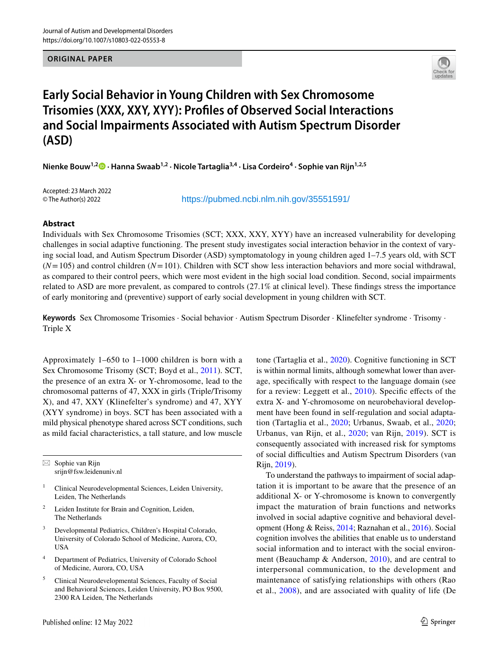**ORIGINAL PAPER**



# **Early Social Behavior in Young Children with Sex Chromosome Trisomies (XXX, XXY, XYY): Profles of Observed Social Interactions and Social Impairments Associated with Autism Spectrum Disorder (ASD)**

**Nienke Bouw1,2 · Hanna Swaab1,2 · Nicole Tartaglia3,4 · Lisa Cordeiro4 · Sophie van Rijn1,2,5**

Accepted: 23 March 2022 © The Author(s) 2022

https://pubmed.ncbi.nlm.nih.gov/35551591/

## **Abstract**

Individuals with Sex Chromosome Trisomies (SCT; XXX, XXY, XYY) have an increased vulnerability for developing challenges in social adaptive functioning. The present study investigates social interaction behavior in the context of varying social load, and Autism Spectrum Disorder (ASD) symptomatology in young children aged 1–7.5 years old, with SCT  $(N=105)$  and control children  $(N=101)$ . Children with SCT show less interaction behaviors and more social withdrawal, as compared to their control peers, which were most evident in the high social load condition. Second, social impairments related to ASD are more prevalent, as compared to controls (27.1% at clinical level). These fndings stress the importance of early monitoring and (preventive) support of early social development in young children with SCT.

**Keywords** Sex Chromosome Trisomies · Social behavior · Autism Spectrum Disorder · Klinefelter syndrome · Trisomy · Triple X

Approximately 1–650 to 1–1000 children is born with a Sex Chromosome Trisomy (SCT; Boyd et al., [2011\)](#page-11-0). SCT, the presence of an extra X- or Y-chromosome, lead to the chromosomal patterns of 47, XXX in girls (Triple/Trisomy X), and 47, XXY (Klinefelter's syndrome) and 47, XYY (XYY syndrome) in boys. SCT has been associated with a mild physical phenotype shared across SCT conditions, such as mild facial characteristics, a tall stature, and low muscle

 $\boxtimes$  Sophie van Rijn srijn@fsw.leidenuniv.nl

- <sup>1</sup> Clinical Neurodevelopmental Sciences, Leiden University, Leiden, The Netherlands
- Leiden Institute for Brain and Cognition, Leiden, The Netherlands
- <sup>3</sup> Developmental Pediatrics, Children's Hospital Colorado, University of Colorado School of Medicine, Aurora, CO, **IISA**
- <sup>4</sup> Department of Pediatrics, University of Colorado School of Medicine, Aurora, CO, USA
- <sup>5</sup> Clinical Neurodevelopmental Sciences, Faculty of Social and Behavioral Sciences, Leiden University, PO Box 9500, 2300 RA Leiden, The Netherlands

tone (Tartaglia et al., [2020](#page-12-0)). Cognitive functioning in SCT is within normal limits, although somewhat lower than average, specifcally with respect to the language domain (see for a review: Leggett et al., [2010](#page-12-1)). Specifc efects of the extra X- and Y-chromosome on neurobehavioral development have been found in self-regulation and social adaptation (Tartaglia et al., [2020;](#page-12-0) Urbanus, Swaab, et al., [2020](#page-12-2); Urbanus, van Rijn, et al., [2020;](#page-12-3) van Rijn, [2019\)](#page-12-4). SCT is consequently associated with increased risk for symptoms of social difculties and Autism Spectrum Disorders (van Rijn, [2019](#page-12-4)).

To understand the pathways to impairment of social adaptation it is important to be aware that the presence of an additional X- or Y-chromosome is known to convergently impact the maturation of brain functions and networks involved in social adaptive cognitive and behavioral development (Hong & Reiss, [2014;](#page-12-5) Raznahan et al., [2016](#page-12-6)). Social cognition involves the abilities that enable us to understand social information and to interact with the social environment (Beauchamp & Anderson, [2010](#page-11-1)), and are central to interpersonal communication, to the development and maintenance of satisfying relationships with others (Rao et al., [2008](#page-12-7)), and are associated with quality of life (De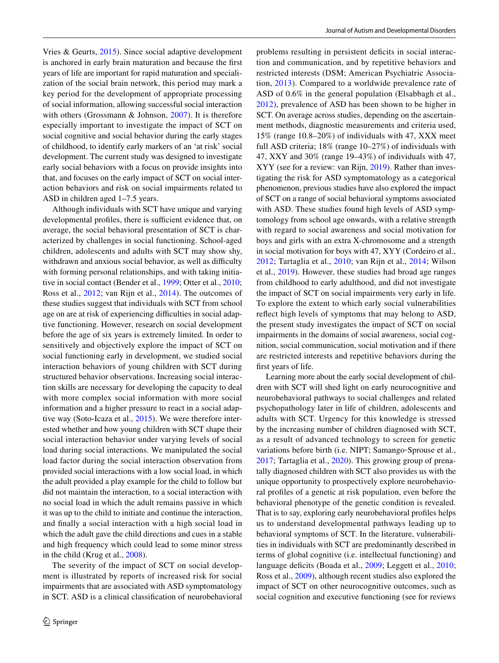Vries & Geurts, [2015](#page-12-8)). Since social adaptive development is anchored in early brain maturation and because the frst years of life are important for rapid maturation and specialization of the social brain network, this period may mark a key period for the development of appropriate processing of social information, allowing successful social interaction with others (Grossmann & Johnson, [2007\)](#page-12-9). It is therefore especially important to investigate the impact of SCT on social cognitive and social behavior during the early stages of childhood, to identify early markers of an 'at risk' social development. The current study was designed to investigate early social behaviors with a focus on provide insights into that, and focuses on the early impact of SCT on social interaction behaviors and risk on social impairments related to ASD in children aged 1–7.5 years.

Although individuals with SCT have unique and varying developmental profiles, there is sufficient evidence that, on average, the social behavioral presentation of SCT is characterized by challenges in social functioning. School-aged children, adolescents and adults with SCT may show shy, withdrawn and anxious social behavior, as well as difficulty with forming personal relationships, and with taking initiative in social contact (Bender et al., [1999](#page-11-2); Otter et al., [2010](#page-12-10); Ross et al., [2012](#page-12-11); van Rijn et al., [2014](#page-13-0)). The outcomes of these studies suggest that individuals with SCT from school age on are at risk of experiencing difficulties in social adaptive functioning. However, research on social development before the age of six years is extremely limited. In order to sensitively and objectively explore the impact of SCT on social functioning early in development, we studied social interaction behaviors of young children with SCT during structured behavior observations. Increasing social interaction skills are necessary for developing the capacity to deal with more complex social information with more social information and a higher pressure to react in a social adaptive way (Soto-Icaza et al., [2015\)](#page-12-12). We were therefore interested whether and how young children with SCT shape their social interaction behavior under varying levels of social load during social interactions. We manipulated the social load factor during the social interaction observation from provided social interactions with a low social load, in which the adult provided a play example for the child to follow but did not maintain the interaction, to a social interaction with no social load in which the adult remains passive in which it was up to the child to initiate and continue the interaction, and fnally a social interaction with a high social load in which the adult gave the child directions and cues in a stable and high frequency which could lead to some minor stress in the child (Krug et al., [2008](#page-12-13)).

The severity of the impact of SCT on social development is illustrated by reports of increased risk for social impairments that are associated with ASD symptomatology in SCT. ASD is a clinical classifcation of neurobehavioral

problems resulting in persistent defcits in social interaction and communication, and by repetitive behaviors and restricted interests (DSM; American Psychiatric Association, [2013\)](#page-11-3). Compared to a worldwide prevalence rate of ASD of 0.6% in the general population (Elsabbagh et al., [2012\)](#page-12-14), prevalence of ASD has been shown to be higher in SCT. On average across studies, depending on the ascertainment methods, diagnostic measurements and criteria used, 15% (range 10.8–20%) of individuals with 47, XXX meet full ASD criteria; 18% (range 10–27%) of individuals with 47, XXY and 30% (range 19–43%) of individuals with 47, XYY (see for a review: van Rijn, [2019](#page-12-4)). Rather than investigating the risk for ASD symptomatology as a categorical phenomenon, previous studies have also explored the impact of SCT on a range of social behavioral symptoms associated with ASD. These studies found high levels of ASD symptomology from school age onwards, with a relative strength with regard to social awareness and social motivation for boys and girls with an extra X-chromosome and a strength in social motivation for boys with 47, XYY (Cordeiro et al., [2012;](#page-12-15) Tartaglia et al., [2010](#page-12-16); van Rijn et al., [2014](#page-13-0); Wilson et al., [2019](#page-13-1)). However, these studies had broad age ranges from childhood to early adulthood, and did not investigate the impact of SCT on social impairments very early in life. To explore the extent to which early social vulnerabilities refect high levels of symptoms that may belong to ASD, the present study investigates the impact of SCT on social impairments in the domains of social awareness, social cognition, social communication, social motivation and if there are restricted interests and repetitive behaviors during the frst years of life.

Learning more about the early social development of children with SCT will shed light on early neurocognitive and neurobehavioral pathways to social challenges and related psychopathology later in life of children, adolescents and adults with SCT. Urgency for this knowledge is stressed by the increasing number of children diagnosed with SCT, as a result of advanced technology to screen for genetic variations before birth (i.e. NIPT; Samango‐Sprouse et al., [2017](#page-12-17); Tartaglia et al., [2020\)](#page-12-0). This growing group of prenatally diagnosed children with SCT also provides us with the unique opportunity to prospectively explore neurobehavioral profles of a genetic at risk population, even before the behavioral phenotype of the genetic condition is revealed. That is to say, exploring early neurobehavioral profles helps us to understand developmental pathways leading up to behavioral symptoms of SCT. In the literature, vulnerabilities in individuals with SCT are predominantly described in terms of global cognitive (i.e. intellectual functioning) and language deficits (Boada et al., [2009](#page-11-4); Leggett et al., [2010](#page-12-1); Ross et al., [2009](#page-12-18)), although recent studies also explored the impact of SCT on other neurocognitive outcomes, such as social cognition and executive functioning (see for reviews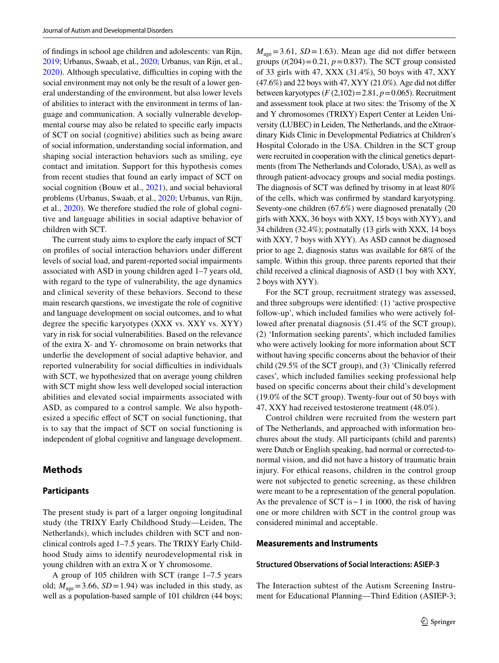of fndings in school age children and adolescents: van Rijn, [2019;](#page-12-4) Urbanus, Swaab, et al., [2020](#page-12-2); Urbanus, van Rijn, et al., [2020](#page-12-3)). Although speculative, difficulties in coping with the social environment may not only be the result of a lower general understanding of the environment, but also lower levels of abilities to interact with the environment in terms of language and communication. A socially vulnerable developmental course may also be related to specifc early impacts of SCT on social (cognitive) abilities such as being aware of social information, understanding social information, and shaping social interaction behaviors such as smiling, eye contact and imitation. Support for this hypothesis comes from recent studies that found an early impact of SCT on social cognition (Bouw et al., [2021](#page-11-5)), and social behavioral problems (Urbanus, Swaab, et al., [2020;](#page-12-2) Urbanus, van Rijn, et al., [2020](#page-12-3)). We therefore studied the role of global cognitive and language abilities in social adaptive behavior of children with SCT.

The current study aims to explore the early impact of SCT on profles of social interaction behaviors under diferent levels of social load, and parent-reported social impairments associated with ASD in young children aged 1–7 years old, with regard to the type of vulnerability, the age dynamics and clinical severity of these behaviors. Second to these main research questions, we investigate the role of cognitive and language development on social outcomes, and to what degree the specifc karyotypes (XXX vs. XXY vs. XYY) vary in risk for social vulnerabilities. Based on the relevance of the extra X- and Y- chromosome on brain networks that underlie the development of social adaptive behavior, and reported vulnerability for social difficulties in individuals with SCT, we hypothesized that on average young children with SCT might show less well developed social interaction abilities and elevated social impairments associated with ASD, as compared to a control sample. We also hypothesized a specifc efect of SCT on social functioning, that is to say that the impact of SCT on social functioning is independent of global cognitive and language development.

## **Methods**

#### **Participants**

The present study is part of a larger ongoing longitudinal study (the TRIXY Early Childhood Study—Leiden, The Netherlands), which includes children with SCT and nonclinical controls aged 1–7.5 years. The TRIXY Early Childhood Study aims to identify neurodevelopmental risk in young children with an extra X or Y chromosome.

A group of 105 children with SCT (range 1–7.5 years old;  $M_{\text{age}} = 3.66$ ,  $SD = 1.94$ ) was included in this study, as well as a population-based sample of 101 children (44 boys;  $M<sub>age</sub> = 3.61, SD = 1.63$ . Mean age did not differ between groups  $(t(204)=0.21, p=0.837)$ . The SCT group consisted of 33 girls with 47, XXX (31.4%), 50 boys with 47, XXY (47.6%) and 22 boys with 47, XYY (21.0%). Age did not difer between karyotypes  $(F(2,102)=2.81, p=0.065)$ . Recruitment and assessment took place at two sites: the Trisomy of the X and Y chromosomes (TRIXY) Expert Center at Leiden University (LUBEC) in Leiden, The Netherlands, and the eXtraordinary Kids Clinic in Developmental Pediatrics at Children's Hospital Colorado in the USA. Children in the SCT group were recruited in cooperation with the clinical genetics departments (from The Netherlands and Colorado, USA), as well as through patient-advocacy groups and social media postings. The diagnosis of SCT was defned by trisomy in at least 80% of the cells, which was confrmed by standard karyotyping. Seventy-one children (67.6%) were diagnosed prenatally (20 girls with XXX, 36 boys with XXY, 15 boys with XYY), and 34 children (32.4%); postnatally (13 girls with XXX, 14 boys with XXY, 7 boys with XYY). As ASD cannot be diagnosed prior to age 2, diagnosis status was available for 68% of the sample. Within this group, three parents reported that their child received a clinical diagnosis of ASD (1 boy with XXY, 2 boys with XYY).

For the SCT group, recruitment strategy was assessed, and three subgroups were identifed: (1) 'active prospective follow-up', which included families who were actively followed after prenatal diagnosis (51.4% of the SCT group), (2) 'Information seeking parents', which included families who were actively looking for more information about SCT without having specifc concerns about the behavior of their child (29.5% of the SCT group), and (3) 'Clinically referred cases', which included families seeking professional help based on specifc concerns about their child's development (19.0% of the SCT group). Twenty-four out of 50 boys with 47, XXY had received testosterone treatment (48.0%).

Control children were recruited from the western part of The Netherlands, and approached with information brochures about the study. All participants (child and parents) were Dutch or English speaking, had normal or corrected-tonormal vision, and did not have a history of traumatic brain injury. For ethical reasons, children in the control group were not subjected to genetic screening, as these children were meant to be a representation of the general population. As the prevalence of SCT is  $\sim$  1 in 1000, the risk of having one or more children with SCT in the control group was considered minimal and acceptable.

## **Measurements and Instruments**

#### **Structured Observations of Social Interactions: ASIEP‑3**

The Interaction subtest of the Autism Screening Instrument for Educational Planning—Third Edition (ASIEP-3;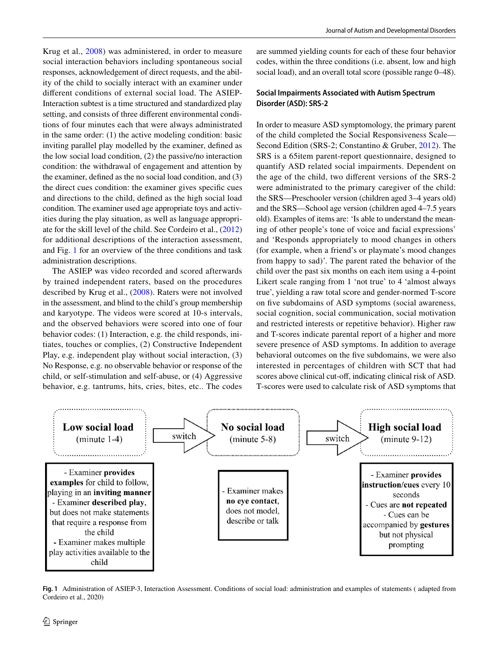Krug et al., [2008\)](#page-12-13) was administered, in order to measure social interaction behaviors including spontaneous social responses, acknowledgement of direct requests, and the ability of the child to socially interact with an examiner under diferent conditions of external social load. The ASIEP-Interaction subtest is a time structured and standardized play setting, and consists of three diferent environmental conditions of four minutes each that were always administrated in the same order: (1) the active modeling condition: basic inviting parallel play modelled by the examiner, defned as the low social load condition, (2) the passive/no interaction condition: the withdrawal of engagement and attention by the examiner, defned as the no social load condition, and (3) the direct cues condition: the examiner gives specifc cues and directions to the child, defned as the high social load condition. The examiner used age appropriate toys and activities during the play situation, as well as language appropriate for the skill level of the child. See Cordeiro et al., ([2012\)](#page-12-15) for additional descriptions of the interaction assessment, and Fig. [1](#page-3-0) for an overview of the three conditions and task administration descriptions.

The ASIEP was video recorded and scored afterwards by trained independent raters, based on the procedures described by Krug et al., ([2008\)](#page-12-13). Raters were not involved in the assessment, and blind to the child's group membership and karyotype. The videos were scored at 10-s intervals, and the observed behaviors were scored into one of four behavior codes: (1) Interaction, e.g. the child responds, initiates, touches or complies, (2) Constructive Independent Play, e.g. independent play without social interaction, (3) No Response, e.g. no observable behavior or response of the child, or self-stimulation and self-abuse, or (4) Aggressive behavior, e.g. tantrums, hits, cries, bites, etc.. The codes

are summed yielding counts for each of these four behavior codes, within the three conditions (i.e. absent, low and high social load), and an overall total score (possible range  $0-48$ ).

## **Social Impairments Associated with Autism Spectrum Disorder (ASD): SRS‑2**

In order to measure ASD symptomology, the primary parent of the child completed the Social Responsiveness Scale— Second Edition (SRS-2; Constantino & Gruber, [2012](#page-12-19)). The SRS is a 65item parent-report questionnaire, designed to quantify ASD related social impairments. Dependent on the age of the child, two diferent versions of the SRS-2 were administrated to the primary caregiver of the child: the SRS—Preschooler version (children aged 3–4 years old) and the SRS—School age version (children aged 4–7.5 years old). Examples of items are: 'Is able to understand the meaning of other people's tone of voice and facial expressions' and 'Responds appropriately to mood changes in others (for example, when a friend's or playmate's mood changes from happy to sad)'. The parent rated the behavior of the child over the past six months on each item using a 4-point Likert scale ranging from 1 'not true' to 4 'almost always true', yielding a raw total score and gender-normed T-score on fve subdomains of ASD symptoms (social awareness, social cognition, social communication, social motivation and restricted interests or repetitive behavior). Higher raw and T-scores indicate parental report of a higher and more severe presence of ASD symptoms. In addition to average behavioral outcomes on the fve subdomains, we were also interested in percentages of children with SCT that had scores above clinical cut-of, indicating clinical risk of ASD. T-scores were used to calculate risk of ASD symptoms that



<span id="page-3-0"></span>**Fig. 1** Administration of ASIEP-3, Interaction Assessment. Conditions of social load: administration and examples of statements ( adapted from Cordeiro et al., 2020)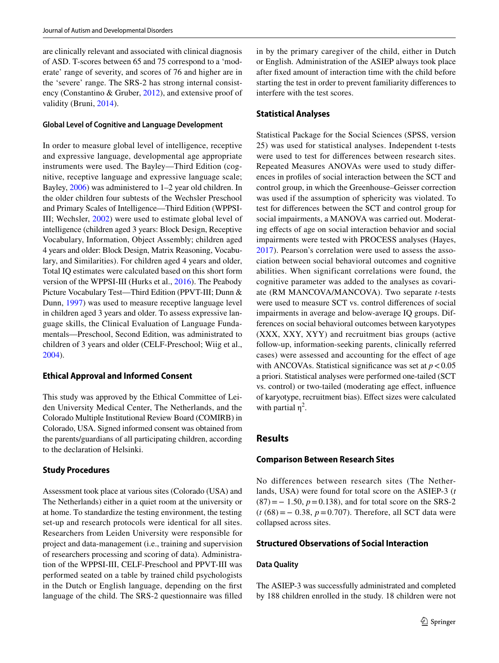are clinically relevant and associated with clinical diagnosis of ASD. T-scores between 65 and 75 correspond to a 'moderate' range of severity, and scores of 76 and higher are in the 'severe' range. The SRS-2 has strong internal consistency (Constantino & Gruber, [2012](#page-12-19)), and extensive proof of validity (Bruni, [2014](#page-11-6)).

#### **Global Level of Cognitive and Language Development**

In order to measure global level of intelligence, receptive and expressive language, developmental age appropriate instruments were used. The Bayley—Third Edition (cognitive, receptive language and expressive language scale; Bayley, [2006](#page-11-7)) was administered to 1–2 year old children. In the older children four subtests of the Wechsler Preschool and Primary Scales of Intelligence—Third Edition (WPPSI-III; Wechsler, [2002\)](#page-13-2) were used to estimate global level of intelligence (children aged 3 years: Block Design, Receptive Vocabulary, Information, Object Assembly; children aged 4 years and older: Block Design, Matrix Reasoning, Vocabulary, and Similarities). For children aged 4 years and older, Total IQ estimates were calculated based on this short form version of the WPPSI-III (Hurks et al., [2016](#page-12-20)). The Peabody Picture Vocabulary Test—Third Edition (PPVT-III; Dunn & Dunn, [1997\)](#page-12-21) was used to measure receptive language level in children aged 3 years and older. To assess expressive language skills, the Clinical Evaluation of Language Fundamentals—Preschool, Second Edition, was administrated to children of 3 years and older (CELF-Preschool; Wiig et al., [2004](#page-13-3)).

# **Ethical Approval and Informed Consent**

This study was approved by the Ethical Committee of Leiden University Medical Center, The Netherlands, and the Colorado Multiple Institutional Review Board (COMIRB) in Colorado, USA. Signed informed consent was obtained from the parents/guardians of all participating children, according to the declaration of Helsinki.

#### **Study Procedures**

Assessment took place at various sites (Colorado (USA) and The Netherlands) either in a quiet room at the university or at home. To standardize the testing environment, the testing set-up and research protocols were identical for all sites. Researchers from Leiden University were responsible for project and data-management (i.e., training and supervision of researchers processing and scoring of data). Administration of the WPPSI-III, CELF-Preschool and PPVT-III was performed seated on a table by trained child psychologists in the Dutch or English language, depending on the frst language of the child. The SRS-2 questionnaire was flled in by the primary caregiver of the child, either in Dutch or English. Administration of the ASIEP always took place after fxed amount of interaction time with the child before starting the test in order to prevent familiarity diferences to interfere with the test scores.

## **Statistical Analyses**

Statistical Package for the Social Sciences (SPSS, version 25) was used for statistical analyses. Independent t-tests were used to test for diferences between research sites. Repeated Measures ANOVAs were used to study diferences in profles of social interaction between the SCT and control group, in which the Greenhouse–Geisser correction was used if the assumption of sphericity was violated. To test for diferences between the SCT and control group for social impairments, a MANOVA was carried out. Moderating efects of age on social interaction behavior and social impairments were tested with PROCESS analyses (Hayes, [2017\)](#page-12-22). Pearson's correlation were used to assess the association between social behavioral outcomes and cognitive abilities. When significant correlations were found, the cognitive parameter was added to the analyses as covariate (RM MANCOVA/MANCOVA). Two separate *t-*tests were used to measure SCT vs. control diferences of social impairments in average and below-average IQ groups. Differences on social behavioral outcomes between karyotypes (XXX, XXY, XYY) and recruitment bias groups (active follow-up, information-seeking parents, clinically referred cases) were assessed and accounting for the efect of age with ANCOVAs. Statistical significance was set at  $p < 0.05$ a priori. Statistical analyses were performed one-tailed (SCT vs. control) or two-tailed (moderating age efect, infuence of karyotype, recruitment bias). Efect sizes were calculated with partial  $\eta^2$ .

# **Results**

## **Comparison Between Research Sites**

No differences between research sites (The Netherlands, USA) were found for total score on the ASIEP-3 (*t* (87)=− 1.50, *p*=0.138), and for total score on the SRS-2 (*t* (68)=− 0.38, *p*=0.707). Therefore, all SCT data were collapsed across sites.

## **Structured Observations of Social Interaction**

#### **Data Quality**

The ASIEP-3 was successfully administrated and completed by 188 children enrolled in the study. 18 children were not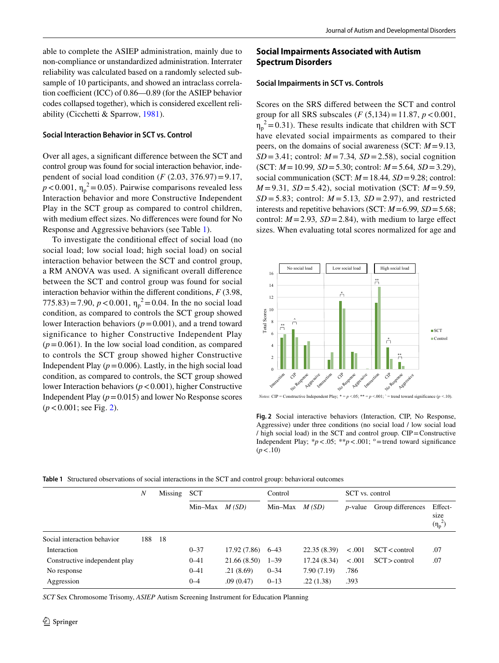able to complete the ASIEP administration, mainly due to non-compliance or unstandardized administration. Interrater reliability was calculated based on a randomly selected subsample of 10 participants, and showed an intraclass correlation coefficient (ICC) of  $0.86 - 0.89$  (for the ASIEP behavior codes collapsed together), which is considered excellent reliability (Cicchetti & Sparrow, [1981\)](#page-12-23).

#### **Social Interaction Behavior in SCT vs. Control**

Over all ages, a signifcant diference between the SCT and control group was found for social interaction behavior, independent of social load condition ( $F$  (2.03, 376.97) = 9.17,  $p < 0.001$ ,  $\eta_p^2 = 0.05$ ). Pairwise comparisons revealed less Interaction behavior and more Constructive Independent Play in the SCT group as compared to control children, with medium efect sizes. No diferences were found for No Response and Aggressive behaviors (see Table [1\)](#page-5-0).

To investigate the conditional efect of social load (no social load; low social load; high social load) on social interaction behavior between the SCT and control group, a RM ANOVA was used. A signifcant overall diference between the SCT and control group was found for social interaction behavior within the diferent conditions, *F* (3.98,  $(775.83) = 7.90, p < 0.001, \eta_p^2 = 0.04$ . In the no social load condition, as compared to controls the SCT group showed lower Interaction behaviors (*p*=0.001), and a trend toward significance to higher Constructive Independent Play  $(p=0.061)$ . In the low social load condition, as compared to controls the SCT group showed higher Constructive Independent Play  $(p=0.006)$ . Lastly, in the high social load condition, as compared to controls, the SCT group showed lower Interaction behaviors (*p*<0.001), higher Constructive Independent Play  $(p=0.015)$  and lower No Response scores  $(p < 0.001$ ; see Fig. [2\)](#page-5-1).

# **Social Impairments Associated with Autism Spectrum Disorders**

## **Social Impairments in SCT vs. Controls**

Scores on the SRS difered between the SCT and control group for all SRS subscales  $(F(5, 134) = 11.87, p < 0.001,$  $\eta_p^2$  = 0.31). These results indicate that children with SCT have elevated social impairments as compared to their peers, on the domains of social awareness (SCT: *M*=9.13*,*   $SD = 3.41$ ; control:  $M = 7.34$ ,  $SD = 2.58$ ), social cognition (SCT: *M*=10.99*, SD*=5.30; control: *M*=5.64*, SD*=3.29), social communication (SCT: *M*=18.44*, SD*=9.28; control: *M* =9.31*, SD* =5.42), social motivation (SCT: *M* =9.59*, SD* = 5.83; control: *M* = 5.13*, SD* = 2.97), and restricted interests and repetitive behaviors (SCT: *M*=6.99*, SD*=5.68; control:  $M = 2.93$ ,  $SD = 2.84$ ), with medium to large effect sizes. When evaluating total scores normalized for age and



<span id="page-5-1"></span>**Fig. 2** Social interactive behaviors (Interaction, CIP, No Response, Aggressive) under three conditions (no social load / low social load / high social load) in the SCT and control group. CIP=Constructive Independent Play;  $*p < .05$ ;  $**p < .001$ ; <sup>o</sup>=trend toward significance  $(p < .10)$ 

<span id="page-5-0"></span>

| Table 1 Structured observations of social interactions in the SCT and control group: behavioral outcomes |
|----------------------------------------------------------------------------------------------------------|
|----------------------------------------------------------------------------------------------------------|

|                               | $\boldsymbol{N}$ | Missing | <b>SCT</b> |                    | Control  |              | SCT vs. control |                   |                                 |
|-------------------------------|------------------|---------|------------|--------------------|----------|--------------|-----------------|-------------------|---------------------------------|
|                               |                  |         | Min–Max    | M(SD)              | Min–Max  | M(SD)        | <i>p</i> -value | Group differences | Effect-<br>size<br>$(\eta_p^2)$ |
| Social interaction behavior   | 188              | 18      |            |                    |          |              |                 |                   |                                 |
| Interaction                   |                  |         | $0 - 37$   | $17.92(7.86)$ 6-43 |          | 22.35 (8.39) | < .001          | $SCT <$ control   | .07                             |
| Constructive independent play |                  |         | $0 - 41$   | 21.66(8.50)        | $1 - 39$ | 17.24(8.34)  | < .001          | $SCT >$ control   | .07                             |
| No response                   |                  |         | $0 - 41$   | .21(8.69)          | $0 - 34$ | 7.90 (7.19)  | .786            |                   |                                 |
| Aggression                    |                  |         | $0 - 4$    | .09(0.47)          | $0 - 13$ | .22(1.38)    | .393            |                   |                                 |

*SCT* Sex Chromosome Trisomy, *ASIEP* Autism Screening Instrument for Education Planning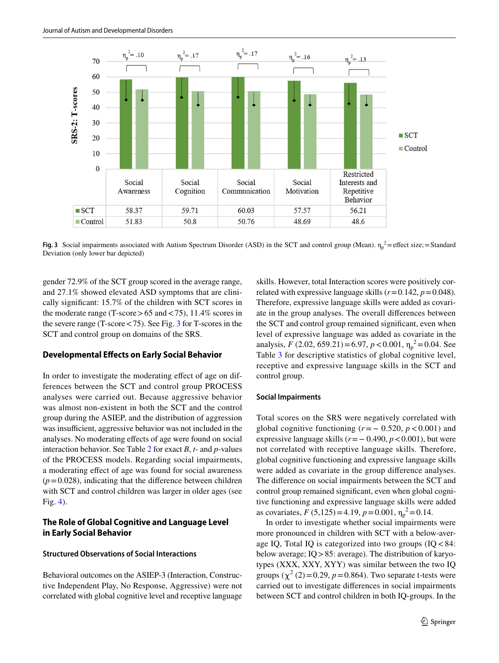

<span id="page-6-0"></span>**Fig. 3** Social impairments associated with Autism Spectrum Disorder (ASD) in the SCT and control group (Mean).  $\eta_p^2$ =effect size; = Standard Deviation (only lower bar depicted)

gender 72.9% of the SCT group scored in the average range, and 27.1% showed elevated ASD symptoms that are clinically signifcant: 15.7% of the children with SCT scores in the moderate range (T-score  $> 65$  and  $< 75$ ), 11.4% scores in the severe range (T-score<75). See Fig. [3](#page-6-0) for T-scores in the SCT and control group on domains of the SRS.

## **Developmental Efects on Early Social Behavior**

In order to investigate the moderating efect of age on differences between the SCT and control group PROCESS analyses were carried out. Because aggressive behavior was almost non-existent in both the SCT and the control group during the ASIEP, and the distribution of aggression was insufficient, aggressive behavior was not included in the analyses. No moderating effects of age were found on social interaction behavior. See Table [2](#page-7-0) for exact *B*, *t*- and *p*-values of the PROCESS models. Regarding social impairments, a moderating efect of age was found for social awareness  $(p=0.028)$ , indicating that the difference between children with SCT and control children was larger in older ages (see Fig. [4](#page-7-1)).

# **The Role of Global Cognitive and Language Level in Early Social Behavior**

#### **Structured Observations of Social Interactions**

Behavioral outcomes on the ASIEP-3 (Interaction, Constructive Independent Play, No Response, Aggressive) were not correlated with global cognitive level and receptive language skills. However, total Interaction scores were positively correlated with expressive language skills  $(r=0.142, p=0.048)$ . Therefore, expressive language skills were added as covariate in the group analyses. The overall diferences between the SCT and control group remained signifcant, even when level of expressive language was added as covariate in the analysis, *F* (2.02, 659.21)=6.97, *p* < 0.001,  $\eta_p^2$ =0.04. See Table [3](#page-8-0) for descriptive statistics of global cognitive level, receptive and expressive language skills in the SCT and control group.

#### **Social Impairments**

Total scores on the SRS were negatively correlated with global cognitive functioning  $(r=-0.520, p<0.001)$  and expressive language skills  $(r = -0.490, p < 0.001)$ , but were not correlated with receptive language skills. Therefore, global cognitive functioning and expressive language skills were added as covariate in the group diference analyses. The diference on social impairments between the SCT and control group remained signifcant, even when global cognitive functioning and expressive language skills were added as covariates,  $F(5,125) = 4.19$ ,  $p = 0.001$ ,  $\eta_p^2 = 0.14$ .

In order to investigate whether social impairments were more pronounced in children with SCT with a below-average IQ, Total IQ is categorized into two groups  $(IQ < 84)$ : below average; IQ>85: average). The distribution of karyotypes (XXX, XXY, XYY) was similar between the two IQ groups  $(\chi^2(2)=0.29, p=0.864)$ . Two separate t-tests were carried out to investigate diferences in social impairments between SCT and control children in both IQ-groups. In the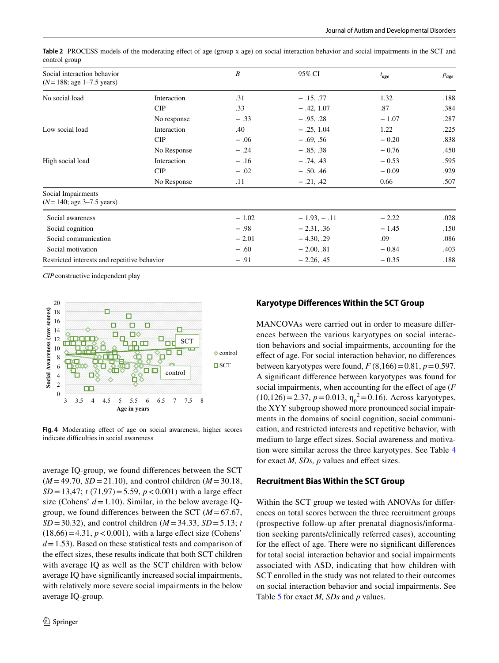<span id="page-7-0"></span>

|               | Table 2 PROCESS models of the moderating effect of age (group x age) on social interaction behavior and social impairments in the SCT and |  |  |  |
|---------------|-------------------------------------------------------------------------------------------------------------------------------------------|--|--|--|
| control group |                                                                                                                                           |  |  |  |

| Social interaction behavior<br>$(N=188; \text{ age } 1-7.5 \text{ years})$ |             | $\boldsymbol{B}$ | 95% CI        | $t_{age}$ | $p_{age}$ |
|----------------------------------------------------------------------------|-------------|------------------|---------------|-----------|-----------|
| No social load                                                             | Interaction | .31              | $-.15, .77$   | 1.32      | .188      |
|                                                                            | CIP         | .33              | $-.42, 1.07$  | .87       | .384      |
|                                                                            | No response | $-.33$           | $-.95, .28$   | $-1.07$   | .287      |
| Low social load                                                            | Interaction | .40              | $-.25, 1.04$  | 1.22      | .225      |
|                                                                            | CIP         | $-.06$           | $-.69, .56$   | $-0.20$   | .838      |
|                                                                            | No Response | $-.24$           | $-.85, .38$   | $-0.76$   | .450      |
| High social load                                                           | Interaction | $-.16$           | $-.74, .43$   | $-0.53$   | .595      |
|                                                                            | CIP         | $-.02$           | $-.50, .46$   | $-0.09$   | .929      |
|                                                                            | No Response | .11              | $-.21, .42$   | 0.66      | .507      |
| Social Impairments<br>$(N=140; \text{ age } 3-7.5 \text{ years})$          |             |                  |               |           |           |
| Social awareness                                                           |             | $-1.02$          | $-1.93, -.11$ | $-2.22$   | .028      |
| Social cognition                                                           |             | $-.98$           | $-2.31, .36$  | $-1.45$   | .150      |
| Social communication                                                       |             | $-2.01$          | $-4.30, .29$  | .09       | .086      |
| Social motivation                                                          |             | $-.60$           | $-2.00, .81$  | $-0.84$   | .403      |
| Restricted interests and repetitive behavior                               |             | $-.91$           | $-2.26, .45$  | $-0.35$   | .188      |

*CIP*constructive independent play



<span id="page-7-1"></span>**Fig. 4** Moderating efect of age on social awareness; higher scores indicate difficulties in social awareness

average IQ-group, we found diferences between the SCT  $(M=49.70, SD=21.10)$ , and control children  $(M=30.18,$  $SD = 13,47$ ; *t* (71,97) = 5.59, *p* < 0.001) with a large effect size (Cohens'  $d = 1.10$ ). Similar, in the below average IQgroup, we found differences between the SCT  $(M=67.67,$  $SD = 30.32$ ), and control children ( $M = 34.33$ ,  $SD = 5.13$ ; *t*  $(18,66) = 4.31$ ,  $p < 0.001$ ), with a large effect size (Cohens' *d*=1.53). Based on these statistical tests and comparison of the efect sizes, these results indicate that both SCT children with average IQ as well as the SCT children with below average IQ have signifcantly increased social impairments, with relatively more severe social impairments in the below average IQ-group.

## **Karyotype Diferences Within the SCT Group**

MANCOVAs were carried out in order to measure diferences between the various karyotypes on social interaction behaviors and social impairments, accounting for the efect of age. For social interaction behavior, no diferences between karyotypes were found,  $F(8,166) = 0.81$ ,  $p = 0.597$ . A signifcant diference between karyotypes was found for social impairments, when accounting for the efect of age (*F*  $(10,126) = 2.37$ ,  $p = 0.013$ ,  $\eta_p^2 = 0.16$ ). Across karyotypes, the XYY subgroup showed more pronounced social impairments in the domains of social cognition, social communication, and restricted interests and repetitive behavior, with medium to large effect sizes. Social awareness and motivation were similar across the three karyotypes. See Table [4](#page-8-1) for exact *M, SDs, p* values and efect sizes.

#### **Recruitment Bias Within the SCT Group**

Within the SCT group we tested with ANOVAs for diferences on total scores between the three recruitment groups (prospective follow-up after prenatal diagnosis/information seeking parents/clinically referred cases), accounting for the efect of age. There were no signifcant diferences for total social interaction behavior and social impairments associated with ASD, indicating that how children with SCT enrolled in the study was not related to their outcomes on social interaction behavior and social impairments. See Table [5](#page-9-0) for exact *M, SDs* and *p* values*.*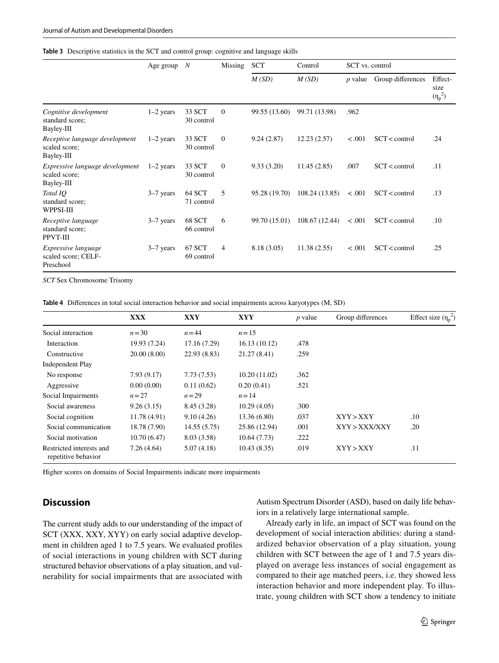#### <span id="page-8-0"></span>**Table 3** Descriptive statistics in the SCT and control group: cognitive and language skills

|                                                                | Age group   | $\boldsymbol{N}$     | Missing        | <b>SCT</b>    | Control        | SCT vs. control |                   |                                 |
|----------------------------------------------------------------|-------------|----------------------|----------------|---------------|----------------|-----------------|-------------------|---------------------------------|
|                                                                |             |                      |                | M(SD)         | M(SD)          | <i>p</i> value  | Group differences | Effect-<br>size<br>$(\eta_p^2)$ |
| Cognitive development<br>standard score;<br>Bayley-III         | $1-2$ years | 33 SCT<br>30 control | $\theta$       | 99.55 (13.60) | 99.71 (13.98)  | .962            |                   |                                 |
| Receptive language development<br>scaled score;<br>Bayley-III  | $1-2$ years | 33 SCT<br>30 control | $\mathbf{0}$   | 9.24(2.87)    | 12.23(2.57)    | < .001          | $SCT <$ control   | .24                             |
| Expressive language development<br>scaled score;<br>Bayley-III | $1-2$ years | 33 SCT<br>30 control | $\overline{0}$ | 9.33(3.20)    | 11.45(2.85)    | .007            | $SCT <$ control   | .11                             |
| Total IO<br>standard score;<br>WPPSI-III                       | $3-7$ years | 64 SCT<br>71 control | 5              | 95.28 (19.70) | 108.24 (13.85) | < .001          | $SCT <$ control   | .13                             |
| Receptive language<br>standard score;<br>PPVT-III              | $3-7$ years | 68 SCT<br>66 control | 6              | 99.70 (15.01) | 108.67 (12.44) | < .001          | SCT < control     | $.10\,$                         |
| Expressive language<br>scaled score; CELF-<br>Preschool        | $3-7$ years | 67 SCT<br>69 control | $\overline{4}$ | 8.18(3.05)    | 11.38(2.55)    | < .001          | $SCT <$ control   | .25                             |

*SCT* Sex Chromosome Trisomy

<span id="page-8-1"></span>**Table 4** Diferences in total social interaction behavior and social impairments across karyotypes (M, SD)

|                                                 | <b>XXX</b>   | <b>XXY</b>   | <b>XYY</b>    | $p$ value | Group differences | Effect size $(\eta_n^2)$ |
|-------------------------------------------------|--------------|--------------|---------------|-----------|-------------------|--------------------------|
| Social interaction                              | $n = 30$     | $n = 44$     | $n=15$        |           |                   |                          |
| Interaction                                     | 19.93 (7.24) | 17.16 (7.29) | 16.13(10.12)  | .478      |                   |                          |
| Constructive                                    | 20.00(8.00)  | 22.93 (8.83) | 21.27(8.41)   | .259      |                   |                          |
| <b>Independent Play</b>                         |              |              |               |           |                   |                          |
| No response                                     | 7.93(9.17)   | 7.73(7.53)   | 10.20(11.02)  | .362      |                   |                          |
| Aggressive                                      | 0.00(0.00)   | 0.11(0.62)   | 0.20(0.41)    | .521      |                   |                          |
| Social Impairments                              | $n=27$       | $n=29$       | $n = 14$      |           |                   |                          |
| Social awareness                                | 9.26(3.15)   | 8.45(3.28)   | 10.29(4.05)   | .300      |                   |                          |
| Social cognition                                | 11.78(4.91)  | 9.10(4.26)   | 13.36 (6.80)  | .037      | XYY>XXY           | .10                      |
| Social communication                            | 18.78 (7.90) | 14.55(5.75)  | 25.86 (12.94) | .001      | XYY>XXX/XXY       | .20                      |
| Social motivation                               | 10.70(6.47)  | 8.03 (3.58)  | 10.64(7.73)   | .222      |                   |                          |
| Restricted interests and<br>repetitive behavior | 7.26(4.64)   | 5.07(4.18)   | 10.43(8.35)   | .019      | XYY>XXY           | .11                      |

Higher scores on domains of Social Impairments indicate more impairments

# **Discussion**

The current study adds to our understanding of the impact of SCT (XXX, XXY, XYY) on early social adaptive development in children aged 1 to 7.5 years. We evaluated profles of social interactions in young children with SCT during structured behavior observations of a play situation, and vulnerability for social impairments that are associated with Autism Spectrum Disorder (ASD), based on daily life behaviors in a relatively large international sample.

Already early in life, an impact of SCT was found on the development of social interaction abilities: during a standardized behavior observation of a play situation, young children with SCT between the age of 1 and 7.5 years displayed on average less instances of social engagement as compared to their age matched peers, i.e. they showed less interaction behavior and more independent play. To illustrate, young children with SCT show a tendency to initiate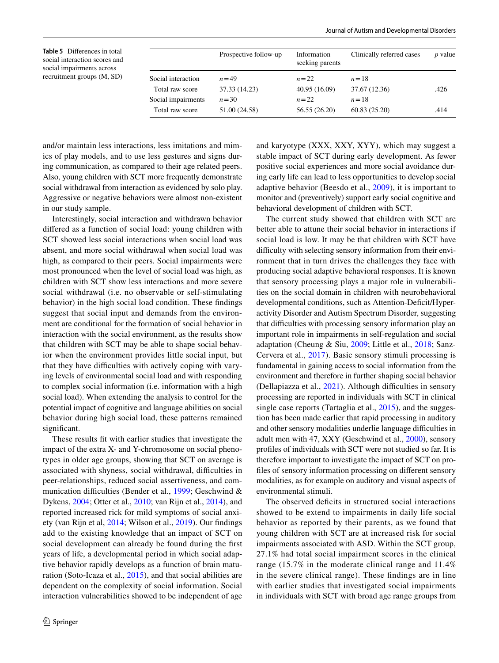<span id="page-9-0"></span>**Table 5** Diferences in total social interaction scores and social impairments across recruitment groups (M, SD)

| Prospective follow-up | Information<br>seeking parents | Clinically referred cases | <i>p</i> value |
|-----------------------|--------------------------------|---------------------------|----------------|
| $n = 49$              | $n=22$                         | $n=18$                    |                |
| 37.33 (14.23)         | 40.95 (16.09)                  | 37.67 (12.36)             | .426           |
| $n = 30$              | $n=22$                         | $n=18$                    |                |
| 51.00 (24.58)         | 56.55 (26.20)                  | 60.83(25.20)              | .414           |
|                       |                                |                           |                |

and/or maintain less interactions, less imitations and mimics of play models, and to use less gestures and signs during communication, as compared to their age related peers. Also, young children with SCT more frequently demonstrate social withdrawal from interaction as evidenced by solo play. Aggressive or negative behaviors were almost non-existent in our study sample.

Interestingly, social interaction and withdrawn behavior difered as a function of social load: young children with SCT showed less social interactions when social load was absent, and more social withdrawal when social load was high, as compared to their peers. Social impairments were most pronounced when the level of social load was high, as children with SCT show less interactions and more severe social withdrawal (i.e. no observable or self-stimulating behavior) in the high social load condition. These fndings suggest that social input and demands from the environment are conditional for the formation of social behavior in interaction with the social environment, as the results show that children with SCT may be able to shape social behavior when the environment provides little social input, but that they have difficulties with actively coping with varying levels of environmental social load and with responding to complex social information (i.e. information with a high social load). When extending the analysis to control for the potential impact of cognitive and language abilities on social behavior during high social load, these patterns remained significant.

These results ft with earlier studies that investigate the impact of the extra X- and Y-chromosome on social phenotypes in older age groups, showing that SCT on average is associated with shyness, social withdrawal, difficulties in peer-relationships, reduced social assertiveness, and com-munication difficulties (Bender et al., [1999](#page-11-2); Geschwind & Dykens, [2004;](#page-12-24) Otter et al., [2010](#page-12-10); van Rijn et al., [2014](#page-13-0)), and reported increased rick for mild symptoms of social anxiety (van Rijn et al, [2014](#page-13-0); Wilson et al., [2019\)](#page-13-1). Our fndings add to the existing knowledge that an impact of SCT on social development can already be found during the frst years of life, a developmental period in which social adaptive behavior rapidly develops as a function of brain maturation (Soto-Icaza et al., [2015\)](#page-12-12), and that social abilities are dependent on the complexity of social information. Social interaction vulnerabilities showed to be independent of age and karyotype (XXX, XXY, XYY), which may suggest a stable impact of SCT during early development. As fewer positive social experiences and more social avoidance during early life can lead to less opportunities to develop social adaptive behavior (Beesdo et al., [2009](#page-11-8)), it is important to monitor and (preventively) support early social cognitive and behavioral development of children with SCT.

The current study showed that children with SCT are better able to attune their social behavior in interactions if social load is low. It may be that children with SCT have difficulty with selecting sensory information from their environment that in turn drives the challenges they face with producing social adaptive behavioral responses. It is known that sensory processing plays a major role in vulnerabilities on the social domain in children with neurobehavioral developmental conditions, such as Attention-Deficit/Hyperactivity Disorder and Autism Spectrum Disorder, suggesting that difficulties with processing sensory information play an important role in impairments in self-regulation and social adaptation (Cheung & Siu, [2009](#page-11-9); Little et al., [2018;](#page-12-25) Sanz-Cervera et al., [2017\)](#page-12-26). Basic sensory stimuli processing is fundamental in gaining access to social information from the environment and therefore in further shaping social behavior (Dellapiazza et al.,  $2021$ ). Although difficulties in sensory processing are reported in individuals with SCT in clinical single case reports (Tartaglia et al., [2015](#page-12-28)), and the suggestion has been made earlier that rapid processing in auditory and other sensory modalities underlie language difficulties in adult men with 47, XXY (Geschwind et al., [2000\)](#page-12-29), sensory profles of individuals with SCT were not studied so far. It is therefore important to investigate the impact of SCT on profles of sensory information processing on diferent sensory modalities, as for example on auditory and visual aspects of environmental stimuli.

The observed deficits in structured social interactions showed to be extend to impairments in daily life social behavior as reported by their parents, as we found that young children with SCT are at increased risk for social impairments associated with ASD. Within the SCT group, 27.1% had total social impairment scores in the clinical range (15.7% in the moderate clinical range and 11.4% in the severe clinical range). These fndings are in line with earlier studies that investigated social impairments in individuals with SCT with broad age range groups from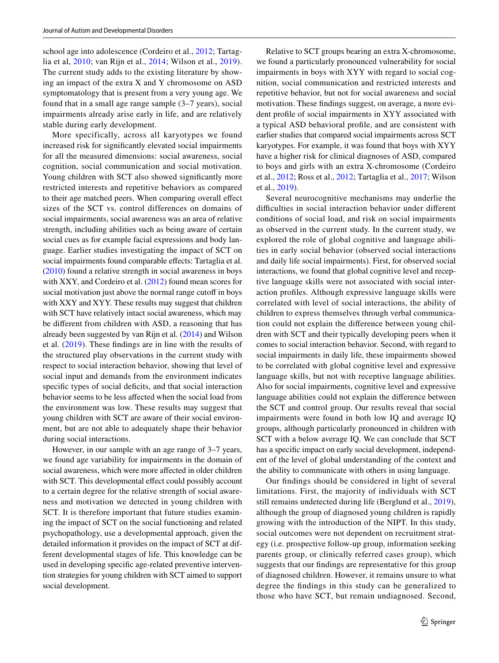school age into adolescence (Cordeiro et al., [2012;](#page-12-15) Tartaglia et al, [2010](#page-12-16); van Rijn et al., [2014](#page-13-0); Wilson et al., [2019](#page-13-1)). The current study adds to the existing literature by showing an impact of the extra X and Y chromosome on ASD symptomatology that is present from a very young age. We found that in a small age range sample (3–7 years), social impairments already arise early in life, and are relatively stable during early development.

More specifically, across all karyotypes we found increased risk for signifcantly elevated social impairments for all the measured dimensions: social awareness, social cognition, social communication and social motivation. Young children with SCT also showed signifcantly more restricted interests and repetitive behaviors as compared to their age matched peers. When comparing overall efect sizes of the SCT vs. control differences on domains of social impairments, social awareness was an area of relative strength, including abilities such as being aware of certain social cues as for example facial expressions and body language. Earlier studies investigating the impact of SCT on social impairments found comparable efects: Tartaglia et al. [\(2010\)](#page-12-16) found a relative strength in social awareness in boys with XXY, and Cordeiro et al. ([2012\)](#page-12-15) found mean scores for social motivation just above the normal range cutoff in boys with XXY and XYY. These results may suggest that children with SCT have relatively intact social awareness, which may be diferent from children with ASD, a reasoning that has already been suggested by van Rijn et al. [\(2014](#page-13-0)) and Wilson et al. ([2019\)](#page-13-1). These fndings are in line with the results of the structured play observations in the current study with respect to social interaction behavior, showing that level of social input and demands from the environment indicates specific types of social deficits, and that social interaction behavior seems to be less afected when the social load from the environment was low. These results may suggest that young children with SCT are aware of their social environment, but are not able to adequately shape their behavior during social interactions.

However, in our sample with an age range of 3–7 years, we found age variability for impairments in the domain of social awareness, which were more afected in older children with SCT. This developmental effect could possibly account to a certain degree for the relative strength of social awareness and motivation we detected in young children with SCT. It is therefore important that future studies examining the impact of SCT on the social functioning and related psychopathology, use a developmental approach, given the detailed information it provides on the impact of SCT at different developmental stages of life. This knowledge can be used in developing specifc age-related preventive intervention strategies for young children with SCT aimed to support social development.

Relative to SCT groups bearing an extra X-chromosome, we found a particularly pronounced vulnerability for social impairments in boys with XYY with regard to social cognition, social communication and restricted interests and repetitive behavior, but not for social awareness and social motivation. These fndings suggest, on average, a more evident profle of social impairments in XYY associated with a typical ASD behavioral profle, and are consistent with earlier studies that compared social impairments across SCT karyotypes. For example, it was found that boys with XYY have a higher risk for clinical diagnoses of ASD, compared to boys and girls with an extra X-chromosome (Cordeiro et al., [2012;](#page-12-15) Ross et al., [2012;](#page-12-11) Tartaglia et al., [2017](#page-12-30); Wilson et al., [2019\)](#page-13-1).

Several neurocognitive mechanisms may underlie the difficulties in social interaction behavior under different conditions of social load, and risk on social impairments as observed in the current study. In the current study, we explored the role of global cognitive and language abilities in early social behavior (observed social interactions and daily life social impairments). First, for observed social interactions, we found that global cognitive level and receptive language skills were not associated with social interaction profles. Although expressive language skills were correlated with level of social interactions, the ability of children to express themselves through verbal communication could not explain the diference between young children with SCT and their typically developing peers when it comes to social interaction behavior. Second, with regard to social impairments in daily life, these impairments showed to be correlated with global cognitive level and expressive language skills, but not with receptive language abilities. Also for social impairments, cognitive level and expressive language abilities could not explain the diference between the SCT and control group. Our results reveal that social impairments were found in both low IQ and average IQ groups, although particularly pronounced in children with SCT with a below average IQ. We can conclude that SCT has a specifc impact on early social development, independent of the level of global understanding of the context and the ability to communicate with others in using language.

Our fndings should be considered in light of several limitations. First, the majority of individuals with SCT still remains undetected during life (Berglund et al., [2019](#page-11-10)), although the group of diagnosed young children is rapidly growing with the introduction of the NIPT. In this study, social outcomes were not dependent on recruitment strategy (i.e. prospective follow-up group, information seeking parents group, or clinically referred cases group), which suggests that our fndings are representative for this group of diagnosed children. However, it remains unsure to what degree the fndings in this study can be generalized to those who have SCT, but remain undiagnosed. Second,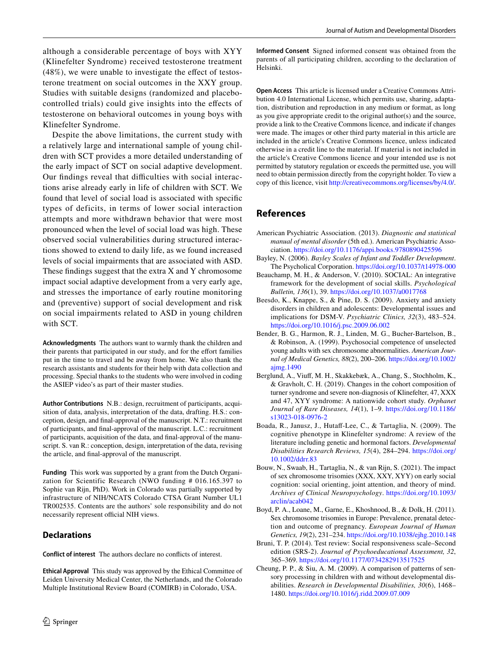although a considerable percentage of boys with XYY (Klinefelter Syndrome) received testosterone treatment (48%), we were unable to investigate the effect of testosterone treatment on social outcomes in the XXY group. Studies with suitable designs (randomized and placebocontrolled trials) could give insights into the efects of testosterone on behavioral outcomes in young boys with Klinefelter Syndrome.

Despite the above limitations, the current study with a relatively large and international sample of young children with SCT provides a more detailed understanding of the early impact of SCT on social adaptive development. Our findings reveal that difficulties with social interactions arise already early in life of children with SCT. We found that level of social load is associated with specifc types of deficits, in terms of lower social interaction attempts and more withdrawn behavior that were most pronounced when the level of social load was high. These observed social vulnerabilities during structured interactions showed to extend to daily life, as we found increased levels of social impairments that are associated with ASD. These fndings suggest that the extra X and Y chromosome impact social adaptive development from a very early age, and stresses the importance of early routine monitoring and (preventive) support of social development and risk on social impairments related to ASD in young children with SCT.

**Acknowledgments** The authors want to warmly thank the children and their parents that participated in our study, and for the efort families put in the time to travel and be away from home. We also thank the research assistants and students for their help with data collection and processing. Special thanks to the students who were involved in coding the ASIEP video's as part of their master studies.

**Author Contributions** N.B.: design, recruitment of participants, acquisition of data, analysis, interpretation of the data, drafting. H.S.: conception, design, and fnal-approval of the manuscript. N.T.: recruitment of participants, and fnal-approval of the manuscript. L.C.: recruitment of participants, acquisition of the data, and fnal-approval of the manuscript. S. van R.: conception, design, interpretation of the data, revising the article, and fnal-approval of the manuscript.

**Funding** This work was supported by a grant from the Dutch Organization for Scientific Research (NWO funding # 016.165.397 to Sophie van Rijn, PhD). Work in Colorado was partially supported by infrastructure of NIH/NCATS Colorado CTSA Grant Number UL1 TR002535. Contents are the authors' sole responsibility and do not necessarily represent official NIH views.

## **Declarations**

**Conflict of interest** The authors declare no conficts of interest.

**Ethical Approval** This study was approved by the Ethical Committee of Leiden University Medical Center, the Netherlands, and the Colorado Multiple Institutional Review Board (COMIRB) in Colorado, USA.

**Informed Consent** Signed informed consent was obtained from the parents of all participating children, according to the declaration of Helsinki.

**Open Access** This article is licensed under a Creative Commons Attribution 4.0 International License, which permits use, sharing, adaptation, distribution and reproduction in any medium or format, as long as you give appropriate credit to the original author(s) and the source, provide a link to the Creative Commons licence, and indicate if changes were made. The images or other third party material in this article are included in the article's Creative Commons licence, unless indicated otherwise in a credit line to the material. If material is not included in the article's Creative Commons licence and your intended use is not permitted by statutory regulation or exceeds the permitted use, you will need to obtain permission directly from the copyright holder. To view a copy of this licence, visit<http://creativecommons.org/licenses/by/4.0/>.

# **References**

- <span id="page-11-3"></span>American Psychiatric Association. (2013). *Diagnostic and statistical manual of mental disorder* (5th ed.). American Psychiatric Association. <https://doi.org/10.1176/appi.books.9780890425596>
- <span id="page-11-7"></span>Bayley, N. (2006). *Bayley Scales of Infant and Toddler Development*. The Psycholical Corporation. <https://doi.org/10.1037/t14978-000>
- <span id="page-11-1"></span>Beauchamp, M. H., & Anderson, V. (2010). SOCIAL: An integrative framework for the development of social skills. *Psychological Bulletin, 136*(1), 39.<https://doi.org/10.1037/a0017768>
- <span id="page-11-8"></span>Beesdo, K., Knappe, S., & Pine, D. S. (2009). Anxiety and anxiety disorders in children and adolescents: Developmental issues and implications for DSM-V. *Psychiatric Clinics, 32*(3), 483–524. <https://doi.org/10.1016/j.psc.2009.06.002>
- <span id="page-11-2"></span>Bender, B. G., Harmon, R. J., Linden, M. G., Bucher-Bartelson, B., & Robinson, A. (1999). Psychosocial competence of unselected young adults with sex chromosome abnormalities. *American Journal of Medical Genetics, 88*(2), 200–206. [https://doi.org/10.1002/](https://doi.org/10.1002/ajmg.1490) [ajmg.1490](https://doi.org/10.1002/ajmg.1490)
- <span id="page-11-10"></span>Berglund, A., Viuf, M. H., Skakkebæk, A., Chang, S., Stochholm, K., & Gravholt, C. H. (2019). Changes in the cohort composition of turner syndrome and severe non-diagnosis of Klinefelter, 47, XXX and 47, XYY syndrome: A nationwide cohort study. *Orphanet Journal of Rare Diseases, 14*(1), 1–9. [https://doi.org/10.1186/](https://doi.org/10.1186/s13023-018-0976-2) [s13023-018-0976-2](https://doi.org/10.1186/s13023-018-0976-2)
- <span id="page-11-4"></span>Boada, R., Janusz, J., Hutaf-Lee, C., & Tartaglia, N. (2009). The cognitive phenotype in Klinefelter syndrome: A review of the literature including genetic and hormonal factors. *Developmental Disabilities Research Reviews, 15*(4), 284–294. [https://doi.org/](https://doi.org/10.1002/ddrr.83) [10.1002/ddrr.83](https://doi.org/10.1002/ddrr.83)
- <span id="page-11-5"></span>Bouw, N., Swaab, H., Tartaglia, N., & van Rijn, S. (2021). The impact of sex chromosome trisomies (XXX, XXY, XYY) on early social cognition: social orienting, joint attention, and theory of mind. *Archives of Clinical Neuropsychology*. [https://doi.org/10.1093/](https://doi.org/10.1093/arclin/acab042) [arclin/acab042](https://doi.org/10.1093/arclin/acab042)
- <span id="page-11-0"></span>Boyd, P. A., Loane, M., Garne, E., Khoshnood, B., & Dolk, H. (2011). Sex chromosome trisomies in Europe: Prevalence, prenatal detection and outcome of pregnancy. *European Journal of Human Genetics, 19*(2), 231–234.<https://doi.org/10.1038/ejhg.2010.148>
- <span id="page-11-6"></span>Bruni, T. P. (2014). Test review: Social responsiveness scale–Second edition (SRS-2). *Journal of Psychoeducational Assessment, 32*, 365–369.<https://doi.org/10.1177/0734282913517525>
- <span id="page-11-9"></span>Cheung, P. P., & Siu, A. M. (2009). A comparison of patterns of sensory processing in children with and without developmental disabilities. *Research in Developmental Disabilities, 30*(6), 1468– 1480. <https://doi.org/10.1016/j.ridd.2009.07.009>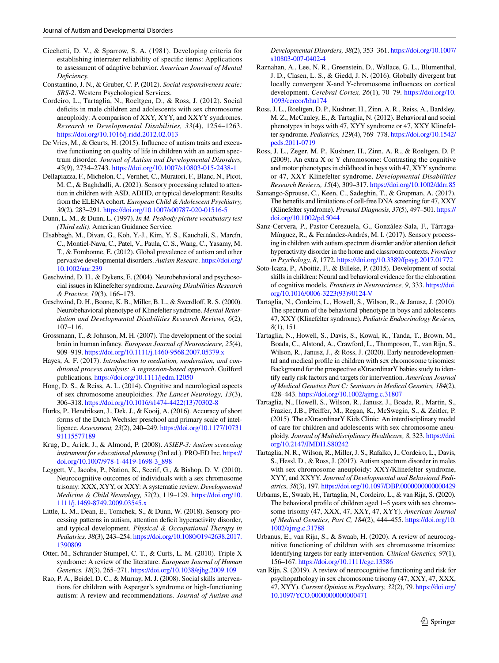- <span id="page-12-23"></span>Cicchetti, D. V., & Sparrow, S. A. (1981). Developing criteria for establishing interrater reliability of specifc items: Applications to assessment of adaptive behavior. *American Journal of Mental Defciency.*
- <span id="page-12-19"></span>Constantino, J. N., & Gruber, C. P. (2012). *Social responsiveness scale: SRS-2*. Western Psychological Services.
- <span id="page-12-15"></span>Cordeiro, L., Tartaglia, N., Roeltgen, D., & Ross, J. (2012). Social deficits in male children and adolescents with sex chromosome aneuploidy: A comparison of XXY, XYY, and XXYY syndromes. *Research in Developmental Disabilities, 33*(4), 1254–1263. <https://doi.org/10.1016/j.ridd.2012.02.013>
- <span id="page-12-8"></span>De Vries, M., & Geurts, H. (2015). Infuence of autism traits and executive functioning on quality of life in children with an autism spectrum disorder. *Journal of Autism and Developmental Disorders, 45*(9), 2734–2743. <https://doi.org/10.1007/s10803-015-2438-1>
- <span id="page-12-27"></span>Dellapiazza, F., Michelon, C., Vernhet, C., Muratori, F., Blanc, N., Picot, M. C., & Baghdadli, A. (2021). Sensory processing related to attention in children with ASD, ADHD, or typical development: Results from the ELENA cohort. *European Child & Adolescent Psychiatry, 30*(2), 283–291.<https://doi.org/10.1007/s00787-020-01516-5>
- <span id="page-12-21"></span>Dunn, L. M., & Dunn, L. (1997). *In M. Peabody picture vocabulary test (Third edit)*. American Guidance Service.
- <span id="page-12-14"></span>Elsabbagh, M., Divan, G., Koh, Y.-J., Kim, Y. S., Kauchali, S., Marcín, C., Montiel-Nava, C., Patel, V., Paula, C. S., Wang, C., Yasamy, M. T., & Fombonne, E. (2012). Global prevalence of autism and other pervasive developmental disorders. *Autism Researc*. [https://doi.org/](https://doi.org/10.1002/aur.239) [10.1002/aur.239](https://doi.org/10.1002/aur.239)
- <span id="page-12-24"></span>Geschwind, D. H., & Dykens, E. (2004). Neurobehavioral and psychosocial issues in Klinefelter syndrome. *Learning Disabilities Research & Practice, 19*(3), 166–173.
- <span id="page-12-29"></span>Geschwind, D. H., Boone, K. B., Miller, B. L., & Swerdlof, R. S. (2000). Neurobehavioral phenotype of Klinefelter syndrome. *Mental Retardation and Developmental Disabilities Research Reviews, 6*(2), 107–116.
- <span id="page-12-9"></span>Grossmann, T., & Johnson, M. H. (2007). The development of the social brain in human infancy. *European Journal of Neuroscience, 25*(4), 909–919.<https://doi.org/10.1111/j.1460-9568.2007.05379.x>
- <span id="page-12-22"></span>Hayes, A. F. (2017). *Introduction to mediation, moderation, and conditional process analysis: A regression-based approach*. Guilford publications. <https://doi.org/10.1111/jedm.12050>
- <span id="page-12-5"></span>Hong, D. S., & Reiss, A. L. (2014). Cognitive and neurological aspects of sex chromosome aneuploidies. *The Lancet Neurology, 13*(3), 306–318. [https://doi.org/10.1016/s1474-4422\(13\)70302-8](https://doi.org/10.1016/s1474-4422(13)70302-8)
- <span id="page-12-20"></span>Hurks, P., Hendriksen, J., Dek, J., & Kooij, A. (2016). Accuracy of short forms of the Dutch Wechsler preschool and primary scale of intelligence. *Assessment, 23*(2), 240–249. [https://doi.org/10.1177/10731](https://doi.org/10.1177/1073191115577189) [91115577189](https://doi.org/10.1177/1073191115577189)
- <span id="page-12-13"></span>Krug, D., Arick, J., & Almond, P. (2008). *ASIEP-3: Autism screening instrument for educational planning* (3rd ed.). PRO-ED Inc. [https://](https://doi.org/10.1007/978-1-4419-1698-3_898) [doi.org/10.1007/978-1-4419-1698-3\\_898](https://doi.org/10.1007/978-1-4419-1698-3_898)
- <span id="page-12-1"></span>Leggett, V., Jacobs, P., Nation, K., Scerif, G., & Bishop, D. V. (2010). Neurocognitive outcomes of individuals with a sex chromosome trisomy: XXX, XYY, or XXY: A systematic review. *Developmental Medicine & Child Neurology, 52*(2), 119–129. [https://doi.org/10.](https://doi.org/10.1111/j.1469-8749.2009.03545.x) [1111/j.1469-8749.2009.03545.x](https://doi.org/10.1111/j.1469-8749.2009.03545.x)
- <span id="page-12-25"></span>Little, L. M., Dean, E., Tomchek, S., & Dunn, W. (2018). Sensory processing patterns in autism, attention defcit hyperactivity disorder, and typical development. *Physical & Occupational Therapy in Pediatrics, 38*(3), 243–254. [https://doi.org/10.1080/01942638.2017.](https://doi.org/10.1080/01942638.2017.1390809) [1390809](https://doi.org/10.1080/01942638.2017.1390809)
- <span id="page-12-10"></span>Otter, M., Schrander-Stumpel, C. T., & Curfs, L. M. (2010). Triple X syndrome: A review of the literature. *European Journal of Human Genetics, 18*(3), 265–271.<https://doi.org/10.1038/ejhg.2009.109>
- <span id="page-12-7"></span>Rao, P. A., Beidel, D. C., & Murray, M. J. (2008). Social skills interventions for children with Asperger's syndrome or high-functioning autism: A review and recommendations. *Journal of Autism and*

*Developmental Disorders, 38*(2), 353–361. [https://doi.org/10.1007/](https://doi.org/10.1007/s10803-007-0402-4) [s10803-007-0402-4](https://doi.org/10.1007/s10803-007-0402-4)

- <span id="page-12-6"></span>Raznahan, A., Lee, N. R., Greenstein, D., Wallace, G. L., Blumenthal, J. D., Clasen, L. S., & Giedd, J. N. (2016). Globally divergent but locally convergent X-and Y-chromosome infuences on cortical development. *Cerebral Cortex, 26*(1), 70–79. [https://doi.org/10.](https://doi.org/10.1093/cercor/bhu174) [1093/cercor/bhu174](https://doi.org/10.1093/cercor/bhu174)
- <span id="page-12-11"></span>Ross, J. L., Roeltgen, D. P., Kushner, H., Zinn, A. R., Reiss, A., Bardsley, M. Z., McCauley, E., & Tartaglia, N. (2012). Behavioral and social phenotypes in boys with 47, XYY syndrome or 47, XXY Klinefelter syndrome. *Pediatrics, 129*(4), 769–778. [https://doi.org/10.1542/](https://doi.org/10.1542/peds.2011-0719) [peds.2011-0719](https://doi.org/10.1542/peds.2011-0719)
- <span id="page-12-18"></span>Ross, J. L., Zeger, M. P., Kushner, H., Zinn, A. R., & Roeltgen, D. P. (2009). An extra X or Y chromosome: Contrasting the cognitive and motor phenotypes in childhood in boys with 47, XYY syndrome or 47, XXY Klinefelter syndrome. *Developmental Disabilities Research Reviews, 15*(4), 309–317. <https://doi.org/10.1002/ddrr.85>
- <span id="page-12-17"></span>Samango-Sprouse, C., Keen, C., Sadeghin, T., & Gropman, A. (2017). The benefts and limitations of cell-free DNA screening for 47, XXY (Klinefelter syndrome). *Prenatal Diagnosis, 37*(5), 497–501. [https://](https://doi.org/10.1002/pd.5044) [doi.org/10.1002/pd.5044](https://doi.org/10.1002/pd.5044)
- <span id="page-12-26"></span>Sanz-Cervera, P., Pastor-Cerezuela, G., González-Sala, F., Tárraga-Mínguez, R., & Fernández-Andrés, M. I. (2017). Sensory processing in children with autism spectrum disorder and/or attention defcit hyperactivity disorder in the home and classroom contexts. *Frontiers in Psychology, 8*, 1772.<https://doi.org/10.3389/fpsyg.2017.01772>
- <span id="page-12-12"></span>Soto-Icaza, P., Aboitiz, F., & Billeke, P. (2015). Development of social skills in children: Neural and behavioral evidence for the elaboration of cognitive models. *Frontiers in Neuroscience, 9*, 333. [https://doi.](https://doi.org/10.1016/0006-3223(93)90124-V) [org/10.1016/0006-3223\(93\)90124-V](https://doi.org/10.1016/0006-3223(93)90124-V)
- <span id="page-12-16"></span>Tartaglia, N., Cordeiro, L., Howell, S., Wilson, R., & Janusz, J. (2010). The spectrum of the behavioral phenotype in boys and adolescents 47, XXY (Klinefelter syndrome). *Pediatric Endocrinology Reviews, 8*(1), 151.
- <span id="page-12-0"></span>Tartaglia, N., Howell, S., Davis, S., Kowal, K., Tanda, T., Brown, M., Boada, C., Alstond, A., Crawford, L., Thomposon, T., van Rijn, S., Wilson, R., Janusz, J., & Ross, J. (2020). Early neurodevelopmental and medical profle in children with sex chromosome trisomies: Background for the prospective eXtraordinarY babies study to identify early risk factors and targets for intervention. *American Journal of Medical Genetics Part C: Seminars in Medical Genetics, 184*(2), 428–443.<https://doi.org/10.1002/ajmg.c.31807>
- <span id="page-12-28"></span>Tartaglia, N., Howell, S., Wilson, R., Janusz, J., Boada, R., Martin, S., Frazier, J.B., Pfeifer, M., Regan, K., McSwegin, S., & Zeitler, P. (2015). The eXtraordinarY Kids Clinic: An interdisciplinary model of care for children and adolescents with sex chromosome aneuploidy. *Journal of Multidisciplinary Healthcare, 8*, 323. [https://doi.](https://doi.org/10.2147/JMDH.S80242) [org/10.2147/JMDH.S80242](https://doi.org/10.2147/JMDH.S80242)
- <span id="page-12-30"></span>Tartaglia, N. R., Wilson, R., Miller, J. S., Rafalko, J., Cordeiro, L., Davis, S., Hessl, D., & Ross, J. (2017). Autism spectrum disorder in males with sex chromosome aneuploidy: XXY/Klinefelter syndrome, XYY, and XXYY. *Journal of Developmental and Behavioral Pediatrics, 38*(3), 197. <https://doi.org/10.1097/DBP.0000000000000429>
- <span id="page-12-2"></span>Urbanus, E., Swaab, H., Tartaglia, N., Cordeiro, L., & van Rijn, S. (2020). The behavioral profle of children aged 1–5 years with sex chromosome trisomy (47, XXX, 47, XXY, 47, XYY). *American Journal of Medical Genetics, Part C, 184*(2), 444–455. [https://doi.org/10.](https://doi.org/10.1002/ajmg.c.31788) [1002/ajmg.c.31788](https://doi.org/10.1002/ajmg.c.31788)
- <span id="page-12-3"></span>Urbanus, E., van Rijn, S., & Swaab, H. (2020). A review of neurocognitive functioning of children with sex chromosome trisomies: Identifying targets for early intervention. *Clinical Genetics, 97*(1), 156–167.<https://doi.org/10.1111/cge.13586>
- <span id="page-12-4"></span>van Rijn, S. (2019). A review of neurocognitive functioning and risk for psychopathology in sex chromosome trisomy (47, XXY, 47, XXX, 47, XYY). *Current Opinion in Psychiatry, 32*(2), 79. [https://doi.org/](https://doi.org/10.1097/YCO.0000000000000471) [10.1097/YCO.0000000000000471](https://doi.org/10.1097/YCO.0000000000000471)